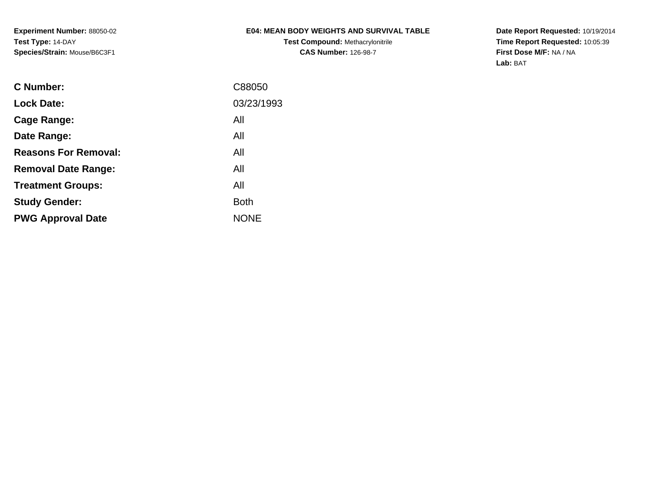# **E04: MEAN BODY WEIGHTS AND SURVIVAL TABLE**

**Test Compound:** Methacrylonitrile**CAS Number:** 126-98-7

**Date Report Requested:** 10/19/2014 **Time Report Requested:** 10:05:39**First Dose M/F:** NA / NA**Lab:** BAT

| C Number:                   | C88050      |
|-----------------------------|-------------|
| <b>Lock Date:</b>           | 03/23/1993  |
| Cage Range:                 | All         |
| Date Range:                 | All         |
| <b>Reasons For Removal:</b> | All         |
| <b>Removal Date Range:</b>  | All         |
| <b>Treatment Groups:</b>    | All         |
| <b>Study Gender:</b>        | <b>Both</b> |
| <b>PWG Approval Date</b>    | <b>NONE</b> |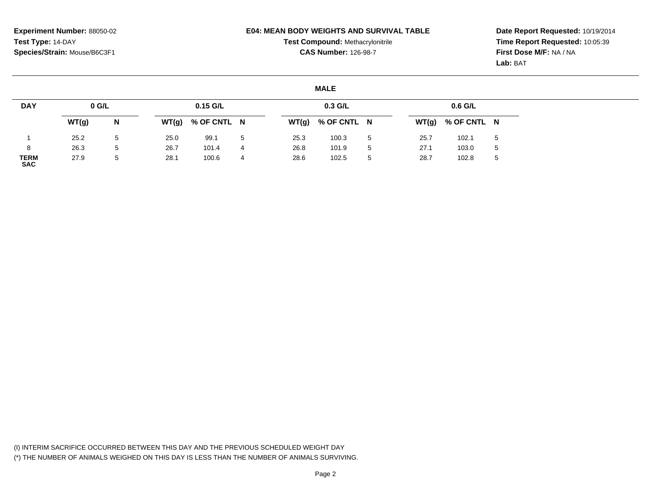#### **E04: MEAN BODY WEIGHTS AND SURVIVAL TABLE**

**Test Compound:** Methacrylonitrile**CAS Number:** 126-98-7

**Date Report Requested:** 10/19/2014**Time Report Requested:** 10:05:39**First Dose M/F:** NA / NA**Lab:** BAT

#### **MALE**

| <b>DAY</b>                | $0$ G/L |   |      | $0.15$ G/L          |                 |      | $0.3$ G/L           |                |       | 0.6 G/L     |             |
|---------------------------|---------|---|------|---------------------|-----------------|------|---------------------|----------------|-------|-------------|-------------|
|                           | WT(g)   | N |      | $WT(g)$ % OF CNTL N |                 |      | $WT(g)$ % OF CNTL N |                | WT(g) | % OF CNTL N |             |
|                           | 25.2    | 5 | 25.0 | 99.1                | $5\overline{a}$ | 25.3 | 100.3               | $5^{\circ}$    | 25.7  | 102.1       | $\mathbf b$ |
|                           | 26.3    | 5 | 26.7 | 101.4               | 4               | 26.8 | 101.9               | $\overline{5}$ | 27.1  | 103.0       | $\mathbf b$ |
| <b>TERM</b><br><b>SAC</b> | 27.9    | 5 | 28.1 | 100.6               | 4               | 28.6 | 102.5               | 5              | 28.7  | 102.8       | ა           |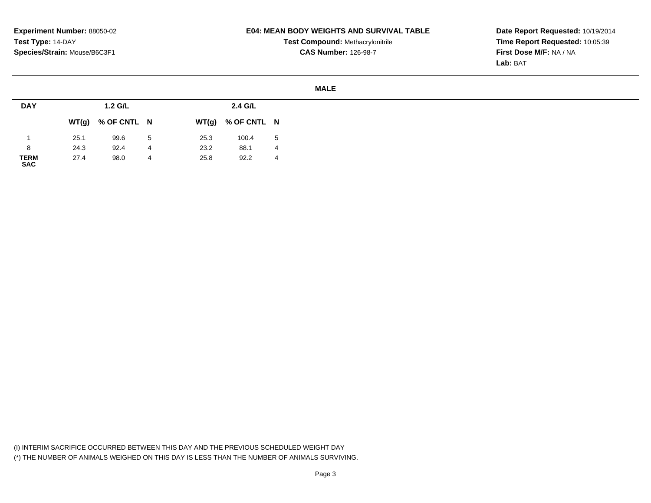### **E04: MEAN BODY WEIGHTS AND SURVIVAL TABLE**

**Test Compound:** Methacrylonitrile**CAS Number:** 126-98-7

**Date Report Requested:** 10/19/2014**Time Report Requested:** 10:05:39**First Dose M/F:** NA / NA**Lab:** BAT

#### **MALE**

| <b>DAY</b>          |      | 1.2 G/L             |   |      | 2.4 G/L             |   |
|---------------------|------|---------------------|---|------|---------------------|---|
|                     |      | $WT(g)$ % OF CNTL N |   |      | $WT(g)$ % OF CNTL N |   |
|                     | 25.1 | 99.6                | 5 | 25.3 | 100.4               | 5 |
| 8                   | 24.3 | 92.4                | 4 | 23.2 | 88.1                | 4 |
| <b>TERM<br/>SAC</b> | 27.4 | 98.0                | 4 | 25.8 | 92.2                | 4 |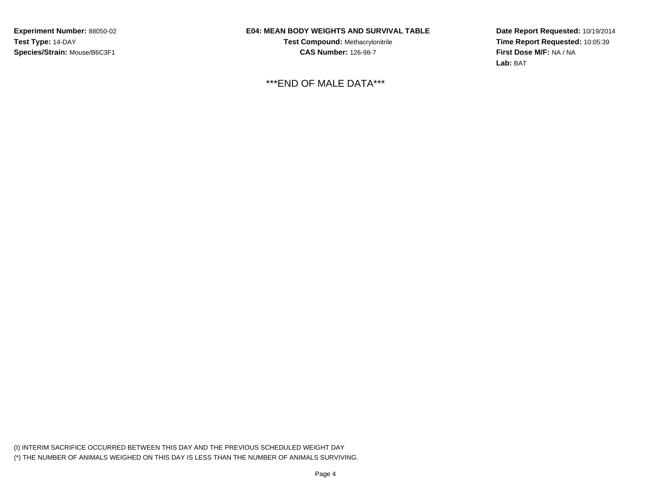## **E04: MEAN BODY WEIGHTS AND SURVIVAL TABLE**

**Test Compound:** Methacrylonitrile**CAS Number:** 126-98-7

\*\*\*END OF MALE DATA\*\*\*

**Date Report Requested:** 10/19/2014**Time Report Requested:** 10:05:39**First Dose M/F:** NA / NA**Lab:** BAT

(I) INTERIM SACRIFICE OCCURRED BETWEEN THIS DAY AND THE PREVIOUS SCHEDULED WEIGHT DAY(\*) THE NUMBER OF ANIMALS WEIGHED ON THIS DAY IS LESS THAN THE NUMBER OF ANIMALS SURVIVING.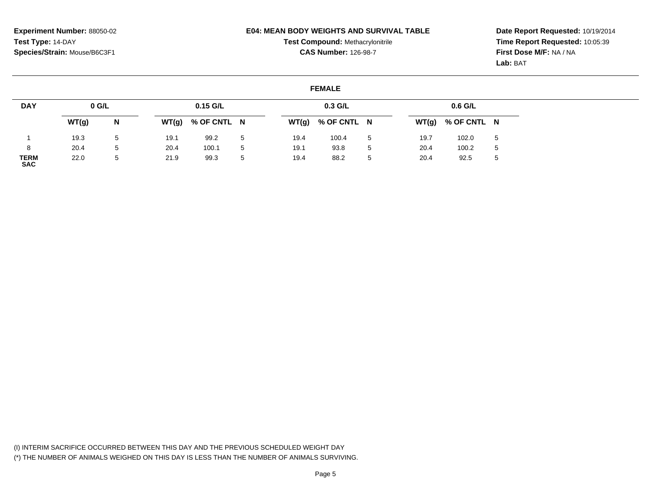#### **E04: MEAN BODY WEIGHTS AND SURVIVAL TABLE**

**Test Compound:** Methacrylonitrile**CAS Number:** 126-98-7

**Date Report Requested:** 10/19/2014**Time Report Requested:** 10:05:39**First Dose M/F:** NA / NA**Lab:** BAT

### **FEMALE**

| <b>DAY</b>                | $0$ G/L |   |       | $0.15$ G/L  |   |      | $0.3$ G/L           |             |      | 0.6 G/L             |              |
|---------------------------|---------|---|-------|-------------|---|------|---------------------|-------------|------|---------------------|--------------|
|                           | WT(g)   | N | WT(g) | % OF CNTL N |   |      | $WT(g)$ % OF CNTL N |             |      | $WT(g)$ % OF CNTL N |              |
|                           | 19.3    | 5 | 19.1  | 99.2        | 5 | 19.4 | 100.4               | -5          | 19.7 | 102.0               | 5            |
| 8                         | 20.4    | 5 | 20.4  | 100.1       | 5 | 19.1 | 93.8                | $5^{\circ}$ | 20.4 | 100.2               | $\mathbf{p}$ |
| <b>TERM</b><br><b>SAC</b> | 22.0    | 5 | 21.9  | 99.3        | 5 | 19.4 | 88.2                | 5           | 20.4 | 92.5                | $\mathbf{p}$ |

(I) INTERIM SACRIFICE OCCURRED BETWEEN THIS DAY AND THE PREVIOUS SCHEDULED WEIGHT DAY(\*) THE NUMBER OF ANIMALS WEIGHED ON THIS DAY IS LESS THAN THE NUMBER OF ANIMALS SURVIVING.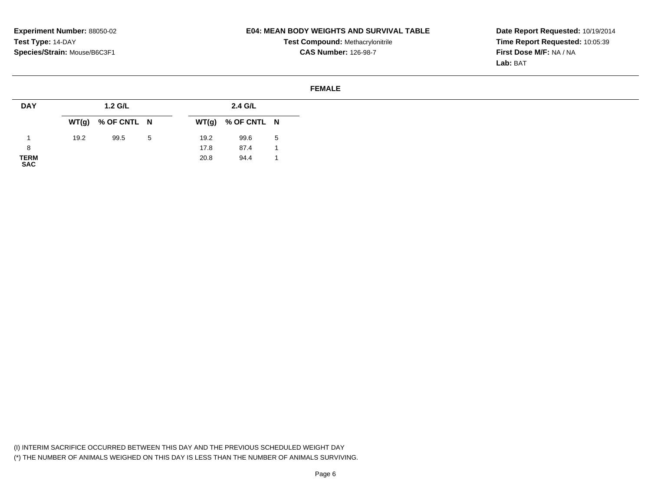### **E04: MEAN BODY WEIGHTS AND SURVIVAL TABLE**

**Test Compound:** Methacrylonitrile**CAS Number:** 126-98-7

**Date Report Requested:** 10/19/2014**Time Report Requested:** 10:05:39**First Dose M/F:** NA / NA**Lab:** BAT

#### **FEMALE**

| <b>DAY</b>          |      | 1.2 G/L             |    |      | 2.4 G/L             |   |
|---------------------|------|---------------------|----|------|---------------------|---|
|                     |      | $WT(g)$ % OF CNTL N |    |      | $WT(g)$ % OF CNTL N |   |
|                     | 19.2 | 99.5                | -5 | 19.2 | 99.6                | 5 |
| 8                   |      |                     |    | 17.8 | 87.4                |   |
| <b>TERM<br/>SAC</b> |      |                     |    | 20.8 | 94.4                |   |